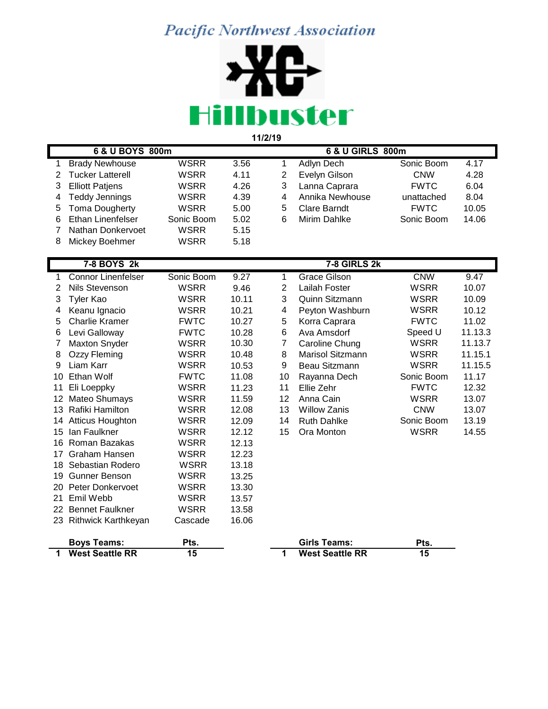## **Pacific Northwest Association**



 **6 & U BOYS 800m 6 & U GIRLS 800m** Brady Newhouse WSRR 3.56 1 Adlyn Dech Sonic Boom 4.17 Tucker Latterell WSRR 4.11 2 Evelyn Gilson CNW 4.28 Elliott Patjens WSRR 4.26 3 Lanna Caprara FWTC 6.04 Teddy Jennings WSRR 4.39 4 Annika Newhouse unattached 8.04 Toma Dougherty WSRR 5.00 5 Clare Barndt FWTC 10.05 Ethan Linenfelser Sonic Boom 5.02 6 Mirim Dahlke Sonic Boom 14.06 Nathan Donkervoet WSRR 5.15 8 Mickey Boehmer WSRR 5.18  **7-8 BOYS 2k 7-8 GIRLS 2k** Connor Linenfelser Sonic Boom 9.27 1 Grace Gilson CNW 9.47 Nils Stevenson WSRR 9.46 2 Lailah Foster WSRR 10.07 Tyler Kao WSRR 10.11 3 Quinn Sitzmann WSRR 10.09 Keanu Ignacio WSRR 10.21 4 Peyton Washburn WSRR 10.12 Charlie Kramer FWTC 10.27 5 Korra Caprara FWTC 11.02 Levi Galloway FWTC 10.28 6 Ava Amsdorf Speed U 11.13.3 Maxton Snyder WSRR 10.30 7 Caroline Chung WSRR 11.13.7 Ozzy Fleming WSRR 10.48 8 Marisol Sitzmann WSRR 11.15.1 Liam Karr WSRR 10.53 9 Beau Sitzmann WSRR 11.15.5 10 Ethan Wolf **FWTC** 11.08 10 Rayanna Dech Sonic Boom 11.17 Eli Loeppky WSRR 11.23 11 Ellie Zehr FWTC 12.32 Mateo Shumays WSRR 11.59 12 Anna Cain WSRR 13.07 Rafiki Hamilton WSRR 12.08 13 Willow Zanis CNW 13.07 Atticus Houghton WSRR 12.09 14 Ruth Dahlke Sonic Boom 13.19 Ian Faulkner WSRR 12.12 15 Ora Monton WSRR 14.55 16 Roman Bazakas WSRR 12.13 Graham Hansen WSRR 12.23 18 Sebastian Rodero WSRR 13.18 19 Gunner Benson WSRR 13.25 20 Peter Donkervoet WSRR 13.30 Emil Webb WSRR 13.57 22 Bennet Faulkner WSRR 13.58 Rithwick Karthkeyan Cascade 16.06

| <b>Boys Teams:</b>     | Pts. | Girls Teams:           | Pts. |
|------------------------|------|------------------------|------|
| <b>West Seattle RR</b> | 15   | <b>West Seattle RR</b> | 15   |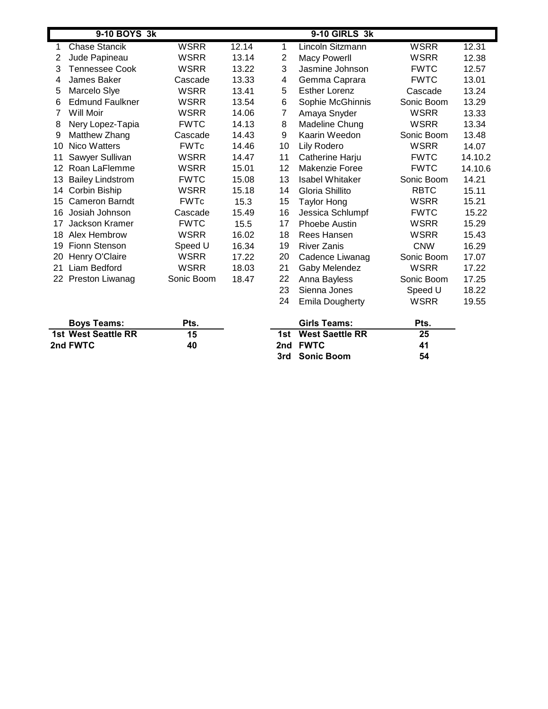|    | 9-10 BOYS 3k            |             |       |    | 9-10 GIRLS 3k          |             |         |
|----|-------------------------|-------------|-------|----|------------------------|-------------|---------|
| 1  | <b>Chase Stancik</b>    | <b>WSRR</b> | 12.14 | 1  | Lincoln Sitzmann       | WSRR        | 12.31   |
| 2  | Jude Papineau           | <b>WSRR</b> | 13.14 | 2  | <b>Macy Powerll</b>    | WSRR        | 12.38   |
| 3  | <b>Tennessee Cook</b>   | <b>WSRR</b> | 13.22 | 3  | Jasmine Johnson        | <b>FWTC</b> | 12.57   |
| 4  | James Baker             | Cascade     | 13.33 | 4  | Gemma Caprara          | <b>FWTC</b> | 13.01   |
| 5  | Marcelo Slye            | <b>WSRR</b> | 13.41 | 5  | <b>Esther Lorenz</b>   | Cascade     | 13.24   |
| 6  | <b>Edmund Faulkner</b>  | <b>WSRR</b> | 13.54 | 6  | Sophie McGhinnis       | Sonic Boom  | 13.29   |
| 7  | Will Moir               | <b>WSRR</b> | 14.06 | 7  | Amaya Snyder           | <b>WSRR</b> | 13.33   |
| 8  | Nery Lopez-Tapia        | <b>FWTC</b> | 14.13 | 8  | Madeline Chung         | WSRR        | 13.34   |
| 9  | Matthew Zhang           | Cascade     | 14.43 | 9  | Kaarin Weedon          | Sonic Boom  | 13.48   |
| 10 | Nico Watters            | <b>FWTc</b> | 14.46 | 10 | Lily Rodero            | WSRR        | 14.07   |
| 11 | Sawyer Sullivan         | <b>WSRR</b> | 14.47 | 11 | Catherine Harju        | <b>FWTC</b> | 14.10.2 |
| 12 | Roan LaFlemme           | <b>WSRR</b> | 15.01 | 12 | Makenzie Foree         | <b>FWTC</b> | 14.10.6 |
| 13 | <b>Bailey Lindstrom</b> | <b>FWTC</b> | 15.08 | 13 | Isabel Whitaker        | Sonic Boom  | 14.21   |
| 14 | Corbin Biship           | <b>WSRR</b> | 15.18 | 14 | Gloria Shillito        | <b>RBTC</b> | 15.11   |
| 15 | Cameron Barndt          | <b>FWTc</b> | 15.3  | 15 | <b>Taylor Hong</b>     | <b>WSRR</b> | 15.21   |
| 16 | Josiah Johnson          | Cascade     | 15.49 | 16 | Jessica Schlumpf       | <b>FWTC</b> | 15.22   |
| 17 | Jackson Kramer          | <b>FWTC</b> | 15.5  | 17 | Phoebe Austin          | WSRR        | 15.29   |
| 18 | Alex Hembrow            | <b>WSRR</b> | 16.02 | 18 | Rees Hansen            | WSRR        | 15.43   |
| 19 | Fionn Stenson           | Speed U     | 16.34 | 19 | <b>River Zanis</b>     | <b>CNW</b>  | 16.29   |
| 20 | Henry O'Claire          | <b>WSRR</b> | 17.22 | 20 | Cadence Liwanag        | Sonic Boom  | 17.07   |
| 21 | Liam Bedford            | <b>WSRR</b> | 18.03 | 21 | Gaby Melendez          | <b>WSRR</b> | 17.22   |
|    | 22 Preston Liwanag      | Sonic Boom  | 18.47 | 22 | Anna Bayless           | Sonic Boom  | 17.25   |
|    |                         |             |       | 23 | Sienna Jones           | Speed U     | 18.22   |
|    |                         |             |       | 24 | <b>Emila Dougherty</b> | <b>WSRR</b> | 19.55   |

| <b>Boys Teams:</b>  | Pts. | Girls Teams:        |    |  |
|---------------------|------|---------------------|----|--|
| 1st West Seattle RR | 15   | 1st West Saettle RR | 25 |  |
| 2nd FWTC            | 40   | 2nd FWTC            | 41 |  |

| Pts. | Girls Teams:        | Pts. |
|------|---------------------|------|
| 15   | 1st West Saettle RR | 25   |
| 40   | 2nd FWTC            | 41   |
|      | 3rd Sonic Boom      | 54   |
|      |                     |      |